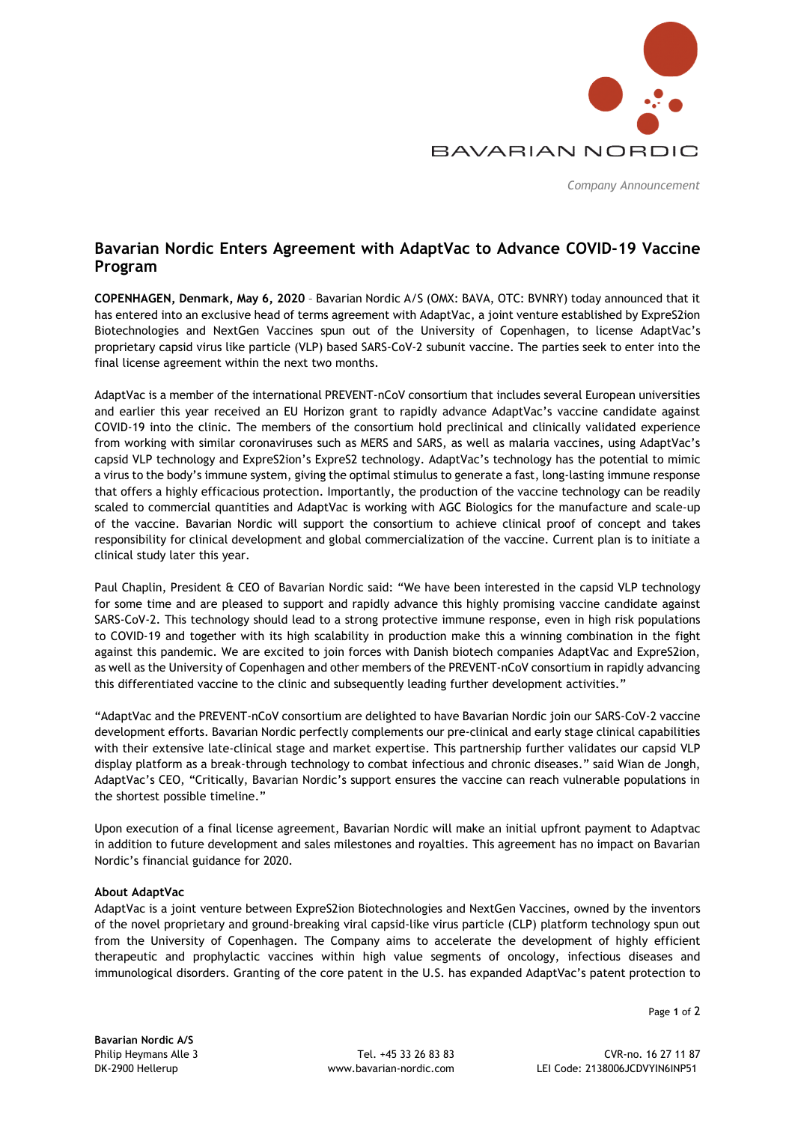

*Company Announcement* 

# **Bavarian Nordic Enters Agreement with AdaptVac to Advance COVID-19 Vaccine Program**

**COPENHAGEN, Denmark, May 6, 2020** – Bavarian Nordic A/S (OMX: BAVA, OTC: BVNRY) today announced that it has entered into an exclusive head of terms agreement with AdaptVac, a joint venture established by ExpreS2ion Biotechnologies and NextGen Vaccines spun out of the University of Copenhagen, to license AdaptVac's proprietary capsid virus like particle (VLP) based SARS-CoV-2 subunit vaccine. The parties seek to enter into the final license agreement within the next two months.

AdaptVac is a member of the international PREVENT-nCoV consortium that includes several European universities and earlier this year received an EU Horizon grant to rapidly advance AdaptVac's vaccine candidate against COVID-19 into the clinic. The members of the consortium hold preclinical and clinically validated experience from working with similar coronaviruses such as MERS and SARS, as well as malaria vaccines, using AdaptVac's capsid VLP technology and ExpreS2ion's ExpreS2 technology. AdaptVac's technology has the potential to mimic a virus to the body's immune system, giving the optimal stimulus to generate a fast, long-lasting immune response that offers a highly efficacious protection. Importantly, the production of the vaccine technology can be readily scaled to commercial quantities and AdaptVac is working with AGC Biologics for the manufacture and scale-up of the vaccine. Bavarian Nordic will support the consortium to achieve clinical proof of concept and takes responsibility for clinical development and global commercialization of the vaccine. Current plan is to initiate a clinical study later this year.

Paul Chaplin, President & CEO of Bavarian Nordic said: "We have been interested in the capsid VLP technology for some time and are pleased to support and rapidly advance this highly promising vaccine candidate against SARS-CoV-2. This technology should lead to a strong protective immune response, even in high risk populations to COVID-19 and together with its high scalability in production make this a winning combination in the fight against this pandemic. We are excited to join forces with Danish biotech companies AdaptVac and ExpreS2ion, as well as the University of Copenhagen and other members of the PREVENT-nCoV consortium in rapidly advancing this differentiated vaccine to the clinic and subsequently leading further development activities."

"AdaptVac and the PREVENT-nCoV consortium are delighted to have Bavarian Nordic join our SARS-CoV-2 vaccine development efforts. Bavarian Nordic perfectly complements our pre-clinical and early stage clinical capabilities with their extensive late-clinical stage and market expertise. This partnership further validates our capsid VLP display platform as a break-through technology to combat infectious and chronic diseases." said Wian de Jongh, AdaptVac's CEO, "Critically, Bavarian Nordic's support ensures the vaccine can reach vulnerable populations in the shortest possible timeline."

Upon execution of a final license agreement, Bavarian Nordic will make an initial upfront payment to Adaptvac in addition to future development and sales milestones and royalties. This agreement has no impact on Bavarian Nordic's financial guidance for 2020.

## **About AdaptVac**

AdaptVac is a joint venture between ExpreS2ion Biotechnologies and NextGen Vaccines, owned by the inventors of the novel proprietary and ground-breaking viral capsid-like virus particle (CLP) platform technology spun out from the University of Copenhagen. The Company aims to accelerate the development of highly efficient therapeutic and prophylactic vaccines within high value segments of oncology, infectious diseases and immunological disorders. Granting of the core patent in the U.S. has expanded AdaptVac's patent protection to

Page **1** of 2